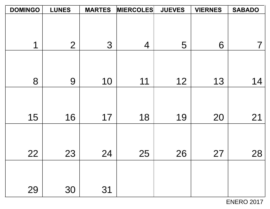| <b>DOMINGO</b> | <b>LUNES</b>   | <b>MARTES</b> | <b>MIERCOLES</b> | <b>JUEVES</b> | <b>VIERNES</b> | <b>SABADO</b> |
|----------------|----------------|---------------|------------------|---------------|----------------|---------------|
|                |                |               |                  |               |                |               |
|                |                |               |                  |               |                |               |
| 1              | $\overline{2}$ | 3             | $\overline{4}$   | 5             | 6              | 7             |
|                |                |               |                  |               |                |               |
|                |                |               |                  |               |                |               |
|                |                |               |                  |               |                |               |
| 8              | 9              | 10            | 11               | 12            | 13             | 14            |
|                |                |               |                  |               |                |               |
|                |                |               |                  |               |                |               |
| 15             | 16             | 17            | 18               | 19            | 20             | 21            |
|                |                |               |                  |               |                |               |
|                |                |               |                  |               |                |               |
| 22             | 23             | 24            | 25               | 26            | 27             | 28            |
|                |                |               |                  |               |                |               |
|                |                |               |                  |               |                |               |
|                |                |               |                  |               |                |               |
| 29             | 30             | 31            |                  |               |                |               |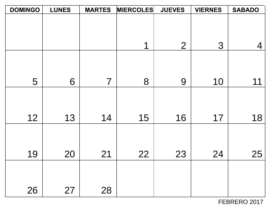| <b>DOMINGO</b> | <b>LUNES</b> | <b>MARTES</b>  | <b>MIERCOLES</b> | <b>JUEVES</b>  | <b>VIERNES</b> | <b>SABADO</b> |
|----------------|--------------|----------------|------------------|----------------|----------------|---------------|
|                |              |                |                  |                |                |               |
|                |              |                |                  |                |                |               |
|                |              |                |                  |                |                |               |
|                |              |                | 1                | $\overline{2}$ | 3              | 4             |
|                |              |                |                  |                |                |               |
|                |              |                |                  |                |                |               |
| 5              | 6            | $\overline{7}$ | 8                | 9              | 10             | 11            |
|                |              |                |                  |                |                |               |
|                |              |                |                  |                |                |               |
|                |              |                |                  |                |                |               |
| 12             | 13           | 14             | 15               | 16             | 17             | 18            |
|                |              |                |                  |                |                |               |
|                |              |                |                  |                |                |               |
|                |              |                |                  |                |                |               |
| 19             | 20           | 21             | 22               | 23             | 24             | 25            |
|                |              |                |                  |                |                |               |
|                |              |                |                  |                |                |               |
|                |              |                |                  |                |                |               |
| 26             | 27           | 28             |                  |                |                |               |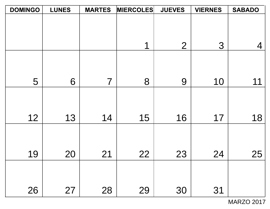| <b>DOMINGO</b> | <b>LUNES</b> | <b>MARTES</b>  | <b>MIERCOLES</b> | <b>JUEVES</b>  | <b>VIERNES</b> | <b>SABADO</b> |
|----------------|--------------|----------------|------------------|----------------|----------------|---------------|
|                |              |                |                  |                |                |               |
|                |              |                |                  |                |                |               |
|                |              |                |                  |                |                |               |
|                |              |                | 1                | $\overline{2}$ | 3              | 4             |
|                |              |                |                  |                |                |               |
|                |              |                |                  |                |                |               |
|                |              |                |                  |                |                |               |
| 5              | 6            | $\overline{7}$ | 8                | 9              | 10             | 11            |
|                |              |                |                  |                |                |               |
|                |              |                |                  |                |                |               |
|                |              |                |                  |                |                |               |
| 12             | 13           | 14             | 15               | 16             | 17             | 18            |
|                |              |                |                  |                |                |               |
|                |              |                |                  |                |                |               |
| 19             | 20           | 21             | 22               | 23             | 24             | 25            |
|                |              |                |                  |                |                |               |
|                |              |                |                  |                |                |               |
|                |              |                |                  |                |                |               |
| 26             | 27           | 28             | 29               | 30             | 31             |               |
|                |              |                |                  |                |                |               |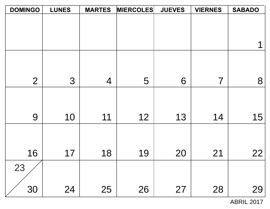| <b>DOMINGO</b> | <b>LUNES</b> | <b>MARTES</b>  | <b>MIERCOLES</b> | <b>JUEVES</b> | <b>VIERNES</b> | <b>SABADO</b> |
|----------------|--------------|----------------|------------------|---------------|----------------|---------------|
|                |              |                |                  |               |                |               |
|                |              |                |                  |               |                |               |
|                |              |                |                  |               |                |               |
|                |              |                |                  |               |                |               |
|                |              |                |                  |               |                |               |
| $\overline{2}$ | 3            | $\overline{4}$ | 5                | 6             | $\overline{7}$ | 8             |
|                |              |                |                  |               |                |               |
|                |              |                |                  |               |                |               |
| 9              | 10           | 11             | 12               | 13            | 14             | 15            |
|                |              |                |                  |               |                |               |
|                |              |                |                  |               |                |               |
| 16             | 17           | 18             | 19               | 20            | 21             | 22            |
| 23             |              |                |                  |               |                |               |
|                |              |                |                  |               |                |               |
| 30             | 24           | 25             | 26               | 27            | 28             | 29            |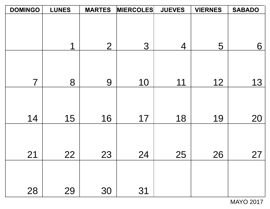| <b>DOMINGO</b> | <b>LUNES</b> | <b>MARTES</b>  | <b>MIERCOLES</b> | <b>JUEVES</b> | <b>VIERNES</b> | <b>SABADO</b> |
|----------------|--------------|----------------|------------------|---------------|----------------|---------------|
|                |              |                |                  |               |                |               |
|                |              |                |                  |               |                |               |
|                |              |                |                  |               |                |               |
|                | 1            | $\overline{2}$ | 3                | 4             | 5              | 6             |
|                |              |                |                  |               |                |               |
|                |              |                |                  |               |                |               |
|                |              |                |                  |               |                |               |
| $\overline{7}$ | 8            | 9              | 10               | 11            | 12             | 13            |
|                |              |                |                  |               |                |               |
|                |              |                |                  |               |                |               |
|                |              |                |                  |               |                |               |
| 14             | 15           | 16             | 17               | 18            | 19             | 20            |
|                |              |                |                  |               |                |               |
|                |              |                |                  |               |                |               |
|                |              |                |                  |               |                |               |
| 21             | 22           | 23             | 24               | 25            | 26             | 27            |
|                |              |                |                  |               |                |               |
|                |              |                |                  |               |                |               |
|                |              |                |                  |               |                |               |
| 28             | 29           | 30             | 31               |               |                |               |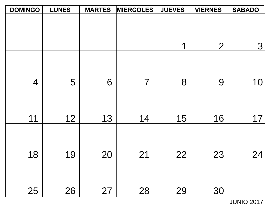| <b>DOMINGO</b> | <b>LUNES</b> | <b>MARTES</b> | <b>MIERCOLES</b> | <b>JUEVES</b> | <b>VIERNES</b> | <b>SABADO</b>  |
|----------------|--------------|---------------|------------------|---------------|----------------|----------------|
|                |              |               |                  |               |                |                |
|                |              |               |                  |               |                |                |
|                |              |               |                  |               |                |                |
|                |              |               |                  | 1             | $\overline{2}$ | $\overline{3}$ |
|                |              |               |                  |               |                |                |
|                |              |               |                  |               |                |                |
| $\overline{4}$ | 5            | 6             | $\overline{7}$   | 8             | 9              | 10             |
|                |              |               |                  |               |                |                |
|                |              |               |                  |               |                |                |
| 11             | 12           | 13            | 14               | 15            | 16             | 17             |
|                |              |               |                  |               |                |                |
|                |              |               |                  |               |                |                |
|                |              |               |                  |               |                |                |
| 18             | 19           | 20            | 21               | 22            | 23             | 24             |
|                |              |               |                  |               |                |                |
|                |              |               |                  |               |                |                |
|                | 26           |               |                  |               |                |                |
| 25             |              | 27            | 28               | 29            | 30             |                |

JUNIO 2017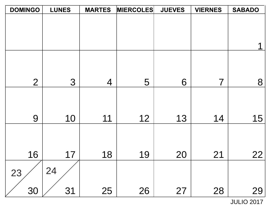| <b>DOMINGO</b> | <b>LUNES</b> | <b>MARTES</b>  | <b>MIERCOLES</b> | <b>JUEVES</b> | <b>VIERNES</b>           | <b>SABADO</b> |
|----------------|--------------|----------------|------------------|---------------|--------------------------|---------------|
|                |              |                |                  |               |                          |               |
|                |              |                |                  |               |                          |               |
|                |              |                |                  |               |                          |               |
|                |              |                |                  |               |                          |               |
|                |              |                |                  |               |                          |               |
| $\overline{2}$ | 3            | $\overline{4}$ | 5                | 6             | $\overline{\mathcal{I}}$ | 8             |
|                |              |                |                  |               |                          |               |
|                |              |                |                  |               |                          |               |
| 9              | 10           | 11             | 12               | 13            | 14                       | 15            |
|                |              |                |                  |               |                          |               |
|                |              |                |                  |               |                          |               |
| 16             | 17           | 18             | 19               | 20            | 21                       | <u>22</u>     |
|                | 24           |                |                  |               |                          |               |
| 23             |              |                |                  |               |                          |               |
| 30             | 31           | 25             | 26               | 27            | 28                       | 29            |

JULIO 2017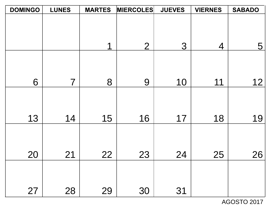| <b>DOMINGO</b> | <b>LUNES</b>   | <b>MARTES</b> | <b>MIERCOLES</b> | <b>JUEVES</b> | <b>VIERNES</b> | <b>SABADO</b> |
|----------------|----------------|---------------|------------------|---------------|----------------|---------------|
|                |                |               |                  |               |                |               |
|                |                |               |                  |               |                |               |
|                |                | 1             | $\overline{2}$   | 3             | $\overline{4}$ | 5             |
|                |                |               |                  |               |                |               |
|                |                |               |                  |               |                |               |
| 6              | $\overline{7}$ | 8             | 9                | 10            | 11             | 12            |
|                |                |               |                  |               |                |               |
|                |                |               |                  |               |                |               |
| 13             | 14             | 15            | 16               | 17            | 18             | 19            |
|                |                |               |                  |               |                |               |
|                |                |               |                  |               |                |               |
| 20             | 21             | 22            | 23               | 24            | 25             | 26            |
|                |                |               |                  |               |                |               |
|                |                |               |                  |               |                |               |
| 27             | 28             | 29            | 30               | 31            |                |               |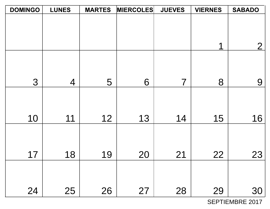| <b>DOMINGO</b> | <b>LUNES</b>   | <b>MARTES</b> | <b>MIERCOLES</b> | <b>JUEVES</b> | <b>VIERNES</b> | <b>SABADO</b>  |
|----------------|----------------|---------------|------------------|---------------|----------------|----------------|
|                |                |               |                  |               |                |                |
|                |                |               |                  |               |                |                |
|                |                |               |                  |               |                |                |
|                |                |               |                  |               | 1              | $\overline{2}$ |
|                |                |               |                  |               |                |                |
|                |                |               |                  |               |                |                |
| 3              | $\overline{4}$ | 5             | 6                | 7             | 8              | 9              |
|                |                |               |                  |               |                |                |
|                |                |               |                  |               |                |                |
|                |                |               |                  |               |                |                |
| 10             | 11             | 12            | 13               | 14            | 15             | 16             |
|                |                |               |                  |               |                |                |
|                |                |               |                  |               |                |                |
| 17             | 18             | 19            | 20               | 21            | 22             | 23             |
|                |                |               |                  |               |                |                |
|                |                |               |                  |               |                |                |
|                |                |               |                  |               |                |                |
| 24             | 25             | 26            | 27               | 28            | 29             | 30             |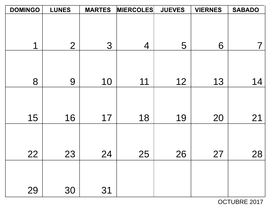| <b>DOMINGO</b> | <b>LUNES</b>   | <b>MARTES</b> | <b>MIERCOLES</b> | <b>JUEVES</b> | <b>VIERNES</b> | <b>SABADO</b> |
|----------------|----------------|---------------|------------------|---------------|----------------|---------------|
|                |                |               |                  |               |                |               |
|                |                |               |                  |               |                |               |
|                |                |               |                  |               |                |               |
| 1              | $\overline{2}$ | 3             | $\overline{4}$   | 5             | 6              |               |
|                |                |               |                  |               |                |               |
|                |                |               |                  |               |                |               |
| 8              |                |               |                  |               |                |               |
|                | 9              | 10            | 11               | 12            | 13             | 14            |
|                |                |               |                  |               |                |               |
|                |                |               |                  |               |                |               |
| 15             | 16             | 17            | 18               | 19            | 20             | 21            |
|                |                |               |                  |               |                |               |
|                |                |               |                  |               |                |               |
|                |                |               |                  |               |                |               |
| 22             | 23             | 24            | 25               | 26            | 27             | 28            |
|                |                |               |                  |               |                |               |
|                |                |               |                  |               |                |               |
|                |                |               |                  |               |                |               |
| 29             | 30             | 31            |                  |               |                |               |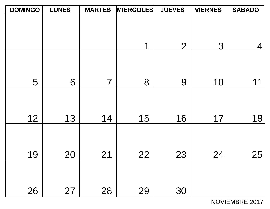| <b>DOMINGO</b> | <b>LUNES</b> | <b>MARTES</b>  | <b>MIERCOLES</b> | <b>JUEVES</b>  | <b>VIERNES</b> | <b>SABADO</b> |
|----------------|--------------|----------------|------------------|----------------|----------------|---------------|
|                |              |                |                  |                |                |               |
|                |              |                |                  |                |                |               |
|                |              |                |                  |                |                |               |
|                |              |                | 1                | $\overline{2}$ | 3              | 4             |
|                |              |                |                  |                |                |               |
|                |              |                |                  |                |                |               |
|                |              |                |                  |                |                |               |
| 5              | 6            | $\overline{7}$ | 8                | 9              | 10             | 11            |
|                |              |                |                  |                |                |               |
|                |              |                |                  |                |                |               |
| 12             | 13           | 14             | 15               | 16             | 17             | 18            |
|                |              |                |                  |                |                |               |
|                |              |                |                  |                |                |               |
|                |              |                |                  |                |                |               |
| 19             | 20           | 21             | 22               | 23             | 24             | 25            |
|                |              |                |                  |                |                |               |
|                |              |                |                  |                |                |               |
|                |              |                |                  |                |                |               |
| 26             | 27           | 28             | 29               | 30             |                |               |